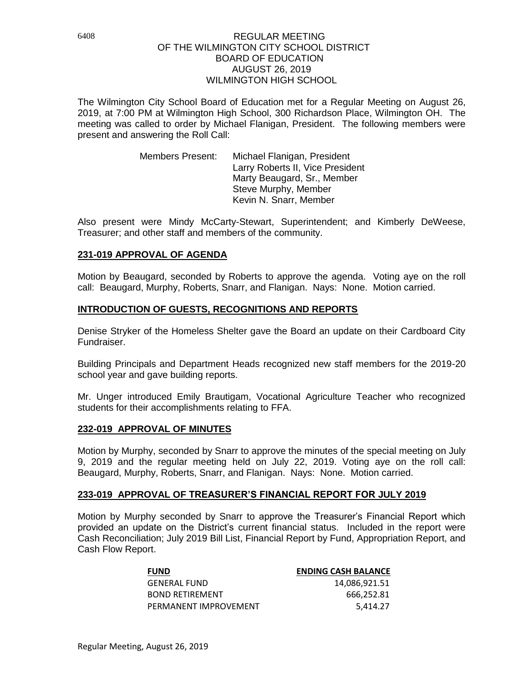The Wilmington City School Board of Education met for a Regular Meeting on August 26, 2019, at 7:00 PM at Wilmington High School, 300 Richardson Place, Wilmington OH. The meeting was called to order by Michael Flanigan, President. The following members were present and answering the Roll Call:

> Members Present: Michael Flanigan, President Larry Roberts II, Vice President Marty Beaugard, Sr., Member Steve Murphy, Member Kevin N. Snarr, Member

Also present were Mindy McCarty-Stewart, Superintendent; and Kimberly DeWeese, Treasurer; and other staff and members of the community.

### **231-019 APPROVAL OF AGENDA**

Motion by Beaugard, seconded by Roberts to approve the agenda. Voting aye on the roll call: Beaugard, Murphy, Roberts, Snarr, and Flanigan. Nays: None. Motion carried.

## **INTRODUCTION OF GUESTS, RECOGNITIONS AND REPORTS**

Denise Stryker of the Homeless Shelter gave the Board an update on their Cardboard City Fundraiser.

Building Principals and Department Heads recognized new staff members for the 2019-20 school year and gave building reports.

Mr. Unger introduced Emily Brautigam, Vocational Agriculture Teacher who recognized students for their accomplishments relating to FFA.

### **232-019 APPROVAL OF MINUTES**

Motion by Murphy, seconded by Snarr to approve the minutes of the special meeting on July 9, 2019 and the regular meeting held on July 22, 2019. Voting aye on the roll call: Beaugard, Murphy, Roberts, Snarr, and Flanigan. Nays: None. Motion carried.

### **233-019 APPROVAL OF TREASURER'S FINANCIAL REPORT FOR JULY 2019**

Motion by Murphy seconded by Snarr to approve the Treasurer's Financial Report which provided an update on the District's current financial status. Included in the report were Cash Reconciliation; July 2019 Bill List, Financial Report by Fund, Appropriation Report, and Cash Flow Report.

| <b>FUND</b>           | <b>ENDING CASH BALANCE</b> |
|-----------------------|----------------------------|
| <b>GENERAL FUND</b>   | 14,086,921.51              |
| BOND RETIREMENT       | 666.252.81                 |
| PERMANENT IMPROVEMENT | 5.414.27                   |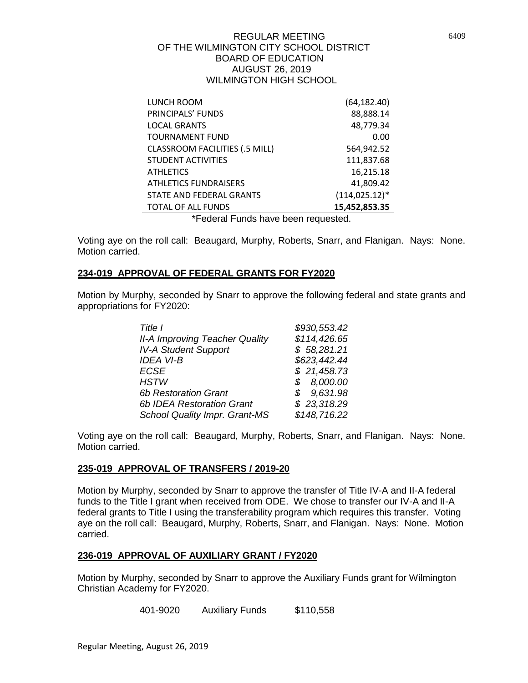| LUNCH ROOM                            | (64, 182.40)      |
|---------------------------------------|-------------------|
| PRINCIPALS' FUNDS                     | 88,888.14         |
| <b>LOCAL GRANTS</b>                   | 48,779.34         |
| <b>TOURNAMENT FUND</b>                | 0.00              |
| <b>CLASSROOM FACILITIES (.5 MILL)</b> | 564,942.52        |
| <b>STUDENT ACTIVITIES</b>             | 111,837.68        |
| <b>ATHLETICS</b>                      | 16,215.18         |
| <b>ATHLETICS FUNDRAISERS</b>          | 41,809.42         |
| STATE AND FEDERAL GRANTS              | $(114, 025.12)^*$ |
| <b>TOTAL OF ALL FUNDS</b>             | 15,452,853.35     |

\*Federal Funds have been requested.

Voting aye on the roll call: Beaugard, Murphy, Roberts, Snarr, and Flanigan. Nays: None. Motion carried.

### **234-019 APPROVAL OF FEDERAL GRANTS FOR FY2020**

Motion by Murphy, seconded by Snarr to approve the following federal and state grants and appropriations for FY2020:

| Title I                               | \$930,553.42 |
|---------------------------------------|--------------|
| <b>II-A Improving Teacher Quality</b> | \$114,426.65 |
| <b>IV-A Student Support</b>           | \$58,281.21  |
| <b>IDEA VI-B</b>                      | \$623,442.44 |
| <b>ECSE</b>                           | \$21,458.73  |
| <b>HSTW</b>                           | \$8,000.00   |
| <b>6b Restoration Grant</b>           | \$9,631.98   |
| <b>6b IDEA Restoration Grant</b>      | \$23,318.29  |
| School Quality Impr. Grant-MS         | \$148,716.22 |

Voting aye on the roll call: Beaugard, Murphy, Roberts, Snarr, and Flanigan. Nays: None. Motion carried.

### **235-019 APPROVAL OF TRANSFERS / 2019-20**

Motion by Murphy, seconded by Snarr to approve the transfer of Title IV-A and II-A federal funds to the Title I grant when received from ODE. We chose to transfer our IV-A and II-A federal grants to Title I using the transferability program which requires this transfer. Voting aye on the roll call: Beaugard, Murphy, Roberts, Snarr, and Flanigan. Nays: None. Motion carried.

### **236-019 APPROVAL OF AUXILIARY GRANT / FY2020**

Motion by Murphy, seconded by Snarr to approve the Auxiliary Funds grant for Wilmington Christian Academy for FY2020.

401-9020 Auxiliary Funds \$110,558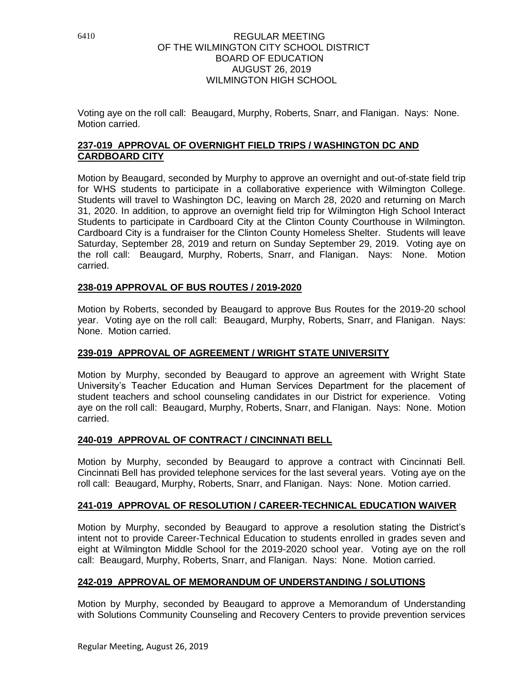Voting aye on the roll call: Beaugard, Murphy, Roberts, Snarr, and Flanigan. Nays: None. Motion carried.

## **237-019 APPROVAL OF OVERNIGHT FIELD TRIPS / WASHINGTON DC AND CARDBOARD CITY**

Motion by Beaugard, seconded by Murphy to approve an overnight and out-of-state field trip for WHS students to participate in a collaborative experience with Wilmington College. Students will travel to Washington DC, leaving on March 28, 2020 and returning on March 31, 2020. In addition, to approve an overnight field trip for Wilmington High School Interact Students to participate in Cardboard City at the Clinton County Courthouse in Wilmington. Cardboard City is a fundraiser for the Clinton County Homeless Shelter. Students will leave Saturday, September 28, 2019 and return on Sunday September 29, 2019. Voting aye on the roll call: Beaugard, Murphy, Roberts, Snarr, and Flanigan. Nays: None. Motion carried.

# **238-019 APPROVAL OF BUS ROUTES / 2019-2020**

Motion by Roberts, seconded by Beaugard to approve Bus Routes for the 2019-20 school year. Voting aye on the roll call: Beaugard, Murphy, Roberts, Snarr, and Flanigan. Nays: None. Motion carried.

# **239-019 APPROVAL OF AGREEMENT / WRIGHT STATE UNIVERSITY**

Motion by Murphy, seconded by Beaugard to approve an agreement with Wright State University's Teacher Education and Human Services Department for the placement of student teachers and school counseling candidates in our District for experience. Voting aye on the roll call: Beaugard, Murphy, Roberts, Snarr, and Flanigan. Nays: None. Motion carried.

## **240-019 APPROVAL OF CONTRACT / CINCINNATI BELL**

Motion by Murphy, seconded by Beaugard to approve a contract with Cincinnati Bell. Cincinnati Bell has provided telephone services for the last several years. Voting aye on the roll call: Beaugard, Murphy, Roberts, Snarr, and Flanigan. Nays: None. Motion carried.

## **241-019 APPROVAL OF RESOLUTION / CAREER-TECHNICAL EDUCATION WAIVER**

Motion by Murphy, seconded by Beaugard to approve a resolution stating the District's intent not to provide Career-Technical Education to students enrolled in grades seven and eight at Wilmington Middle School for the 2019-2020 school year. Voting aye on the roll call: Beaugard, Murphy, Roberts, Snarr, and Flanigan. Nays: None. Motion carried.

## **242-019 APPROVAL OF MEMORANDUM OF UNDERSTANDING / SOLUTIONS**

Motion by Murphy, seconded by Beaugard to approve a Memorandum of Understanding with Solutions Community Counseling and Recovery Centers to provide prevention services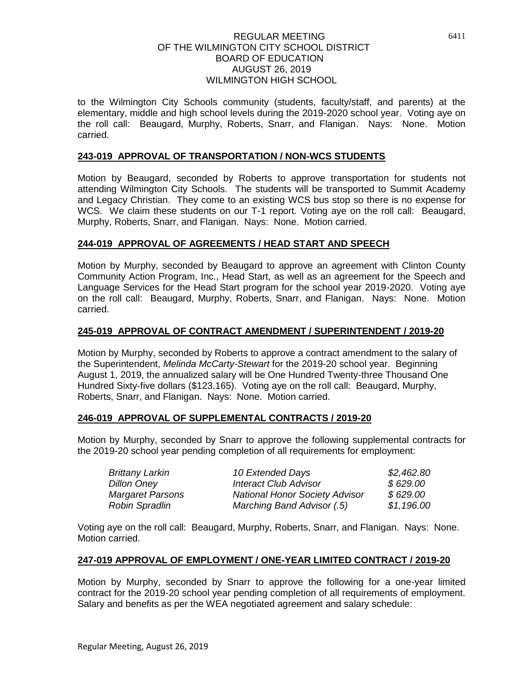to the Wilmington City Schools community (students, faculty/staff, and parents) at the elementary, middle and high school levels during the 2019-2020 school year. Voting aye on the roll call: Beaugard, Murphy, Roberts, Snarr, and Flanigan. Nays: None. Motion carried.

### **243-019 APPROVAL OF TRANSPORTATION / NON-WCS STUDENTS**

Motion by Beaugard, seconded by Roberts to approve transportation for students not attending Wilmington City Schools. The students will be transported to Summit Academy and Legacy Christian. They come to an existing WCS bus stop so there is no expense for WCS. We claim these students on our T-1 report. Voting aye on the roll call: Beaugard, Murphy, Roberts, Snarr, and Flanigan. Nays: None. Motion carried.

### **244-019 APPROVAL OF AGREEMENTS / HEAD START AND SPEECH**

Motion by Murphy, seconded by Beaugard to approve an agreement with Clinton County Community Action Program, Inc., Head Start, as well as an agreement for the Speech and Language Services for the Head Start program for the school year 2019-2020. Voting aye on the roll call: Beaugard, Murphy, Roberts, Snarr, and Flanigan. Nays: None. Motion carried.

### **245-019 APPROVAL OF CONTRACT AMENDMENT / SUPERINTENDENT / 2019-20**

Motion by Murphy, seconded by Roberts to approve a contract amendment to the salary of the Superintendent, *Melinda McCarty-Stewart* for the 2019-20 school year. Beginning August 1, 2019, the annualized salary will be One Hundred Twenty-three Thousand One Hundred Sixty-five dollars (\$123,165). Voting aye on the roll call: Beaugard, Murphy, Roberts, Snarr, and Flanigan. Nays: None. Motion carried.

### **246-019 APPROVAL OF SUPPLEMENTAL CONTRACTS / 2019-20**

Motion by Murphy, seconded by Snarr to approve the following supplemental contracts for the 2019-20 school year pending completion of all requirements for employment:

| <b>Brittany Larkin</b>  | 10 Extended Days                      | \$2,462.80 |
|-------------------------|---------------------------------------|------------|
| <b>Dillon Oney</b>      | <b>Interact Club Advisor</b>          | \$629.00   |
| <b>Margaret Parsons</b> | <b>National Honor Society Advisor</b> | \$629.00   |
| <b>Robin Spradlin</b>   | Marching Band Advisor (.5)            | \$1,196.00 |

Voting aye on the roll call: Beaugard, Murphy, Roberts, Snarr, and Flanigan. Nays: None. Motion carried.

### **247-019 APPROVAL OF EMPLOYMENT / ONE-YEAR LIMITED CONTRACT / 2019-20**

Motion by Murphy, seconded by Snarr to approve the following for a one-year limited contract for the 2019-20 school year pending completion of all requirements of employment. Salary and benefits as per the WEA negotiated agreement and salary schedule: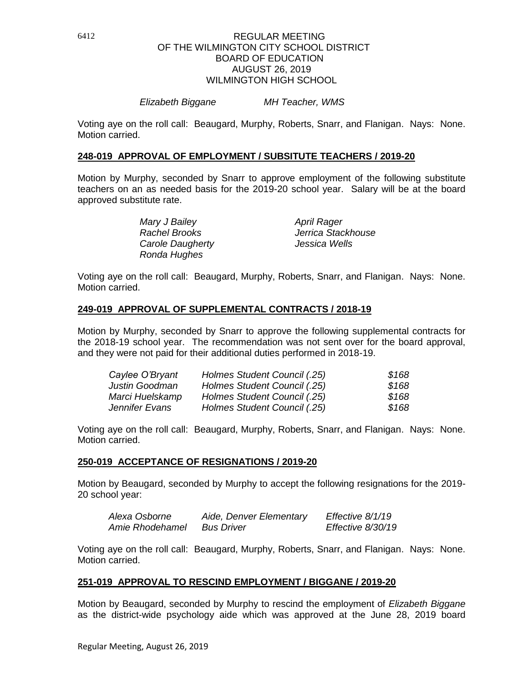#### *Elizabeth Biggane MH Teacher, WMS*

Voting aye on the roll call: Beaugard, Murphy, Roberts, Snarr, and Flanigan. Nays: None. Motion carried.

#### **248-019 APPROVAL OF EMPLOYMENT / SUBSITUTE TEACHERS / 2019-20**

Motion by Murphy, seconded by Snarr to approve employment of the following substitute teachers on an as needed basis for the 2019-20 school year. Salary will be at the board approved substitute rate.

> *Mary J Bailey April Rager Carole Daugherty Jessica Wells Ronda Hughes*

*Rachel Brooks Jerrica Stackhouse*

Voting aye on the roll call: Beaugard, Murphy, Roberts, Snarr, and Flanigan. Nays: None. Motion carried.

### **249-019 APPROVAL OF SUPPLEMENTAL CONTRACTS / 2018-19**

Motion by Murphy, seconded by Snarr to approve the following supplemental contracts for the 2018-19 school year. The recommendation was not sent over for the board approval, and they were not paid for their additional duties performed in 2018-19.

| Caylee O'Bryant | Holmes Student Council (.25) | \$168 |
|-----------------|------------------------------|-------|
| Justin Goodman  | Holmes Student Council (.25) | \$168 |
| Marci Huelskamp | Holmes Student Council (.25) | \$168 |
| Jennifer Evans  | Holmes Student Council (.25) | \$168 |

Voting aye on the roll call: Beaugard, Murphy, Roberts, Snarr, and Flanigan. Nays: None. Motion carried.

#### **250-019 ACCEPTANCE OF RESIGNATIONS / 2019-20**

Motion by Beaugard, seconded by Murphy to accept the following resignations for the 2019- 20 school year:

| Alexa Osborne   | Aide, Denver Elementary | Effective 8/1/19  |
|-----------------|-------------------------|-------------------|
| Amie Rhodehamel | <b>Bus Driver</b>       | Effective 8/30/19 |

Voting aye on the roll call: Beaugard, Murphy, Roberts, Snarr, and Flanigan. Nays: None. Motion carried.

#### **251-019 APPROVAL TO RESCIND EMPLOYMENT / BIGGANE / 2019-20**

Motion by Beaugard, seconded by Murphy to rescind the employment of *Elizabeth Biggane* as the district-wide psychology aide which was approved at the June 28, 2019 board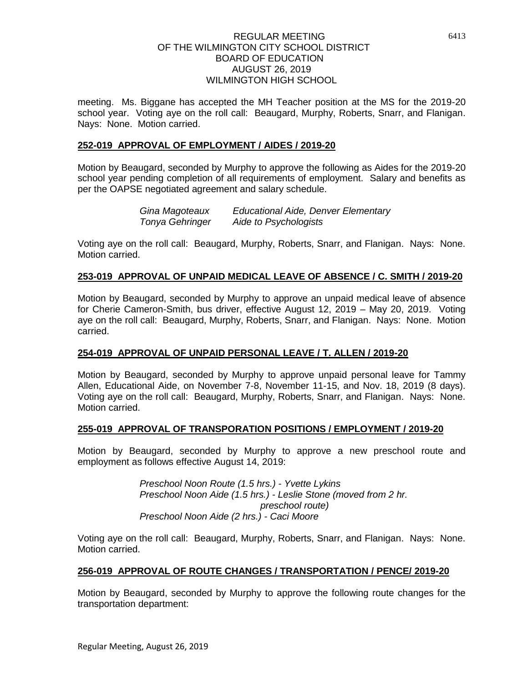meeting. Ms. Biggane has accepted the MH Teacher position at the MS for the 2019-20 school year. Voting aye on the roll call: Beaugard, Murphy, Roberts, Snarr, and Flanigan. Nays: None. Motion carried.

### **252-019 APPROVAL OF EMPLOYMENT / AIDES / 2019-20**

Motion by Beaugard, seconded by Murphy to approve the following as Aides for the 2019-20 school year pending completion of all requirements of employment. Salary and benefits as per the OAPSE negotiated agreement and salary schedule.

> *Gina Magoteaux Educational Aide, Denver Elementary Tonya Gehringer Aide to Psychologists*

Voting aye on the roll call: Beaugard, Murphy, Roberts, Snarr, and Flanigan. Nays: None. Motion carried.

### **253-019 APPROVAL OF UNPAID MEDICAL LEAVE OF ABSENCE / C. SMITH / 2019-20**

Motion by Beaugard, seconded by Murphy to approve an unpaid medical leave of absence for Cherie Cameron-Smith, bus driver, effective August 12, 2019 – May 20, 2019. Voting aye on the roll call: Beaugard, Murphy, Roberts, Snarr, and Flanigan. Nays: None. Motion carried.

### **254-019 APPROVAL OF UNPAID PERSONAL LEAVE / T. ALLEN / 2019-20**

Motion by Beaugard, seconded by Murphy to approve unpaid personal leave for Tammy Allen, Educational Aide, on November 7-8, November 11-15, and Nov. 18, 2019 (8 days). Voting aye on the roll call: Beaugard, Murphy, Roberts, Snarr, and Flanigan. Nays: None. Motion carried.

### **255-019 APPROVAL OF TRANSPORATION POSITIONS / EMPLOYMENT / 2019-20**

Motion by Beaugard, seconded by Murphy to approve a new preschool route and employment as follows effective August 14, 2019:

> *Preschool Noon Route (1.5 hrs.) - Yvette Lykins Preschool Noon Aide (1.5 hrs.) - Leslie Stone (moved from 2 hr. preschool route) Preschool Noon Aide (2 hrs.) - Caci Moore*

Voting aye on the roll call: Beaugard, Murphy, Roberts, Snarr, and Flanigan. Nays: None. Motion carried.

### **256-019 APPROVAL OF ROUTE CHANGES / TRANSPORTATION / PENCE/ 2019-20**

Motion by Beaugard, seconded by Murphy to approve the following route changes for the transportation department: